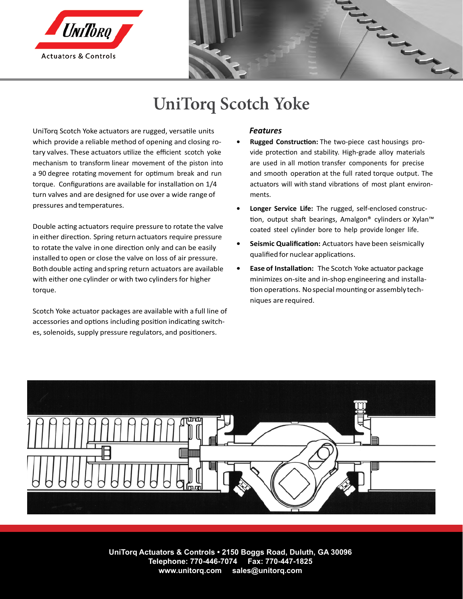



# **UniTorq Scotch Yoke**

UniTorq Scotch Yoke actuators are rugged, versatile units which provide a reliable method of opening and closing rotary valves. These actuators utilize the efficient scotch yoke mechanism to transform linear movement of the piston into a 90 degree rotating movement for optimum break and run torque. Configurations are available for installation on 1/4 turn valves and are designed for use over a wide range of pressures and temperatures.

Double acting actuators require pressure to rotate the valve in either direction. Spring return actuators require pressure to rotate the valve in one direction only and can be easily installed to open or close the valve on loss of air pressure. Both double acting and spring return actuators are available with either one cylinder or with two cylinders for higher torque.

Scotch Yoke actuator packages are available with a full line of accessories and options including position indicating switches, solenoids, supply pressure regulators, and positioners.

#### *Features*

- **• Rugged Construction:** The two-piece cast housings provide protection and stability. High-grade alloy materials are used in all motion transfer components for precise and smooth operation at the full rated torque output. The actuators will with stand vibrations of most plant environments.
- **• Longer Service Life:** The rugged, self-enclosed construction, output shaft bearings, Amalgon® cylinders or Xylan™ coated steel cylinder bore to help provide longer life.
- **• Seismic Qualification:** Actuators have been seismically qualified for nuclear applications.
- **• Ease of Installation:** The Scotch Yoke actuator package minimizes on-site and in-shop engineering and installation operations. No special mounting or assembly techniques are required.



**UniTorq Actuators & Controls • 2150 Boggs Road, Duluth, GA 30096 Telephone: 770-446-7074 Fax: 770-447-1825 www.unitorq.com sales@unitorq.com**